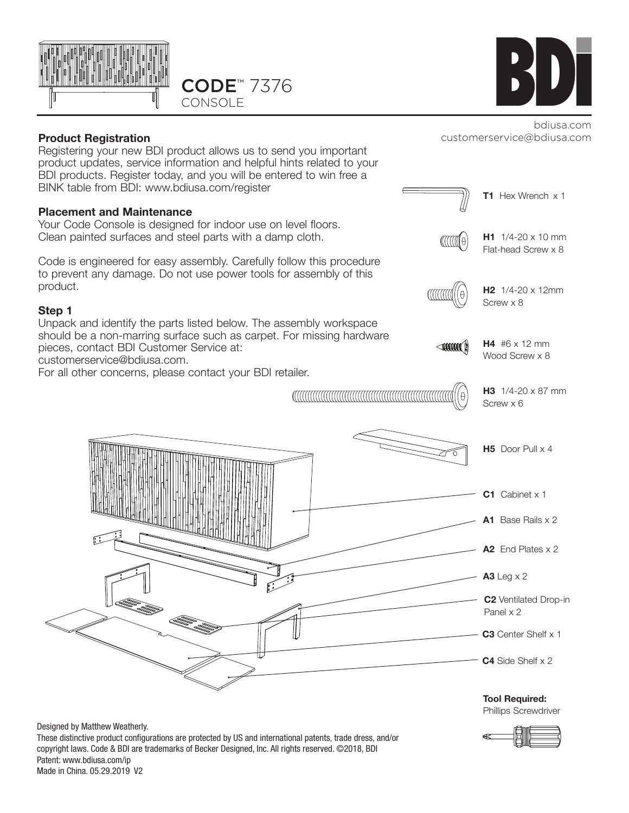



customerservice@bdiusa.com

### **Product Registration**

Registering your new BDI product allows us to send you important product updates, service information and helpful hints related to your BDI products. Register today, and you will be entered to win free a BINK table from BDI: www.bdiusa.com/register

#### **Placement and Maintenance**

Your Code Console is designed for indoor use on level floors. Clean painted surfaces and steel parts with a damp cloth.

Code is engineered for easy assembly. Carefully follow this procedure to prevent any damage. Do not use power tools for assembly of this product.

#### **Step 1**

Unpack and identify the parts listed below. The assembly workspace should be a non-marring surface such as carpet. For missing hardware pieces, contact BDI Customer Service at: customerservice@bdiusa.com.

For all other concerns, please contact your BDI retailer.





**A3** Leg x 2

Panel x 2

**C3** Center Shelf x 1

**C4** Side Shelf x 2

**Tool Required:** Phillips Screwdriver

Designed by Matthew Weatherly. These distinctive product configurations are protected by US and international patents, trade dress, and/or copyright laws. Code & BDI are trademarks of Becker Designed, Inc. All rights reserved. ©2018, BDI Patent: www.bdiusa.com/ip Made in China. 05.29.2019 V2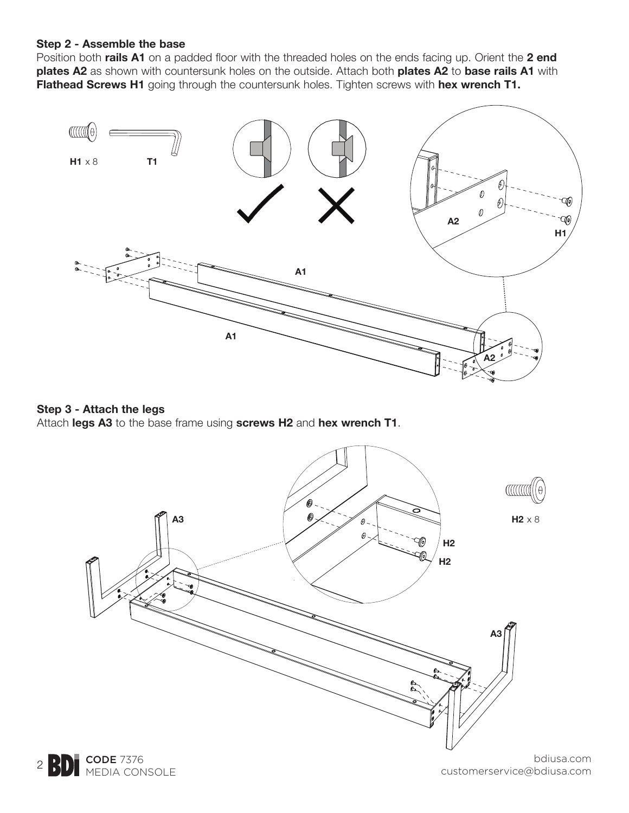### **Step 2 - Assemble the base**

Position both **rails A1** on a padded floor with the threaded holes on the ends facing up. Orient the **2 end plates A2** as shown with countersunk holes on the outside. Attach both **plates A2** to **base rails A1** with **Flathead Screws H1** going through the countersunk holes. Tighten screws with **hex wrench T1.**



#### **Step 3 - Attach the legs**

Attach **legs A3** to the base frame using **screws H2** and **hex wrench T1**.



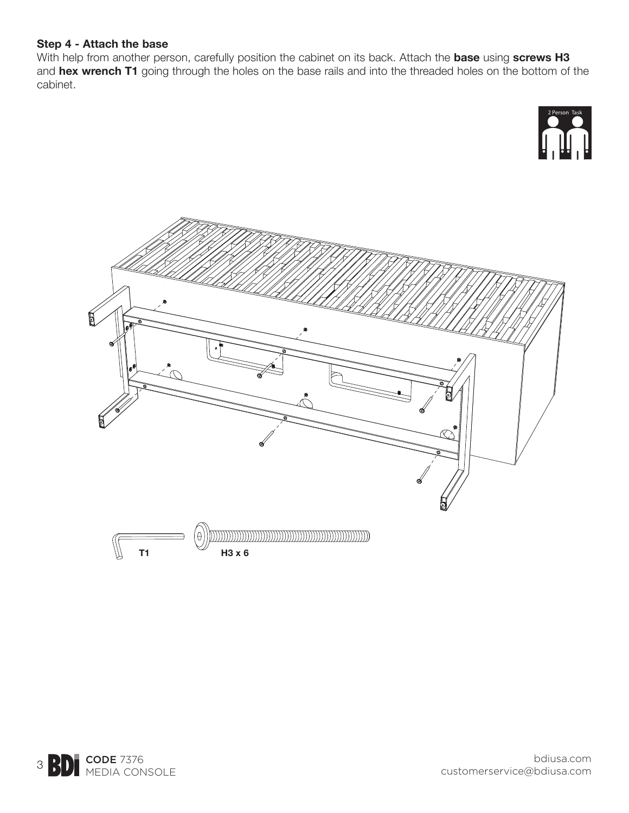### **Step 4 - Attach the base**

With help from another person, carefully position the cabinet on its back. Attach the **base** using **screws H3**  and **hex wrench T1** going through the holes on the base rails and into the threaded holes on the bottom of the cabinet.



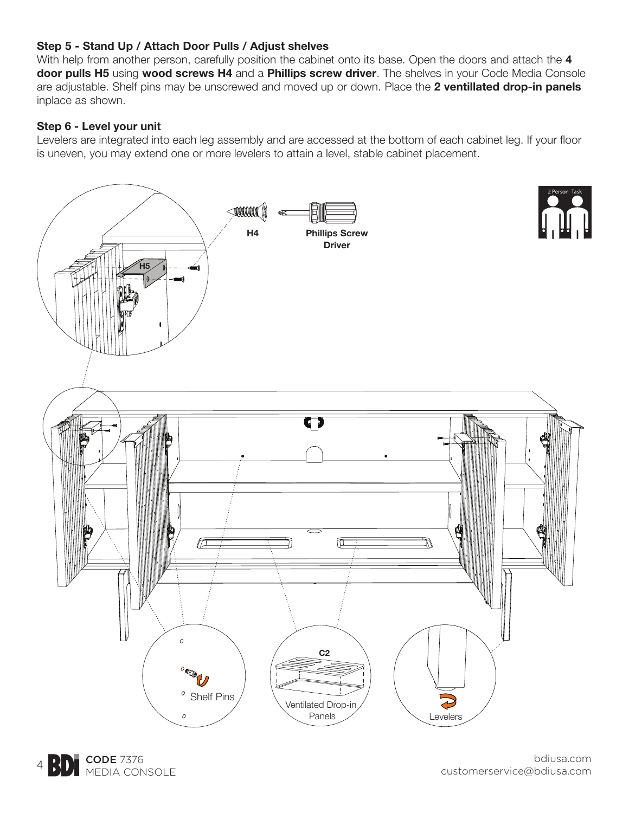# **Step 5 - Stand Up / Attach Door Pulls / Adjust shelves**

With help from another person, carefully position the cabinet onto its base. Open the doors and attach the **4 door pulls H5** using **wood screws H4** and a **Phillips screw driver**. The shelves in your Code Media Console are adjustable. Shelf pins may be unscrewed and moved up or down. Place the **2 ventillated drop-in panels** inplace as shown.

### **Step 6 - Level your unit**

Levelers are integrated into each leg assembly and are accessed at the bottom of each cabinet leg. If your floor is uneven, you may extend one or more levelers to attain a level, stable cabinet placement.



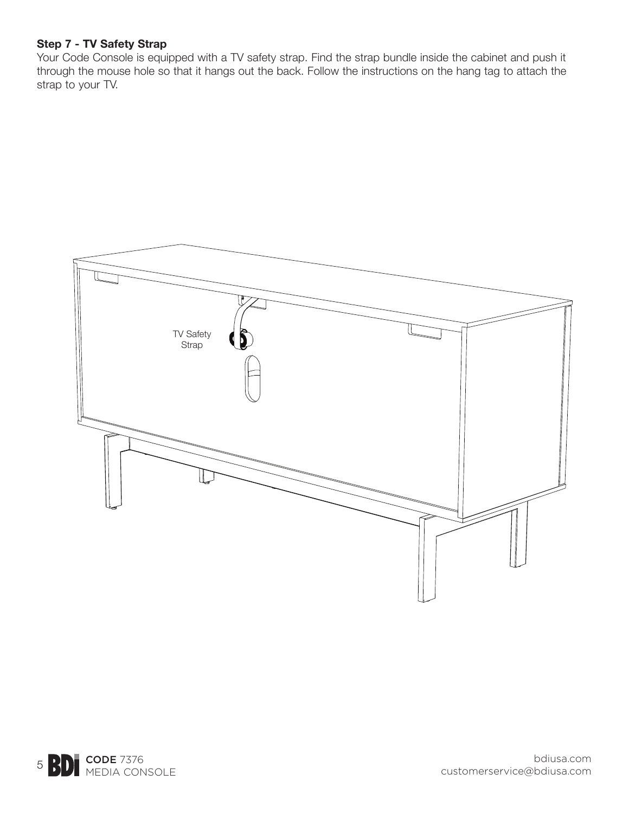### **Step 7 - TV Safety Strap**

Your Code Console is equipped with a TV safety strap. Find the strap bundle inside the cabinet and push it through the mouse hole so that it hangs out the back. Follow the instructions on the hang tag to attach the strap to your TV.